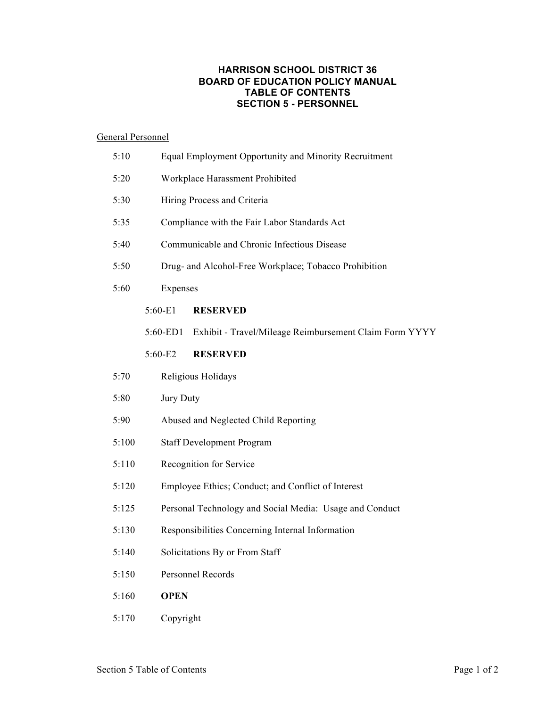## **HARRISON SCHOOL DISTRICT 36 BOARD OF EDUCATION POLICY MANUAL TABLE OF CONTENTS SECTION 5 - PERSONNEL**

## General Personnel

| 5:10  |          | Equal Employment Opportunity and Minority Recruitment   |  |  |
|-------|----------|---------------------------------------------------------|--|--|
| 5:20  |          | Workplace Harassment Prohibited                         |  |  |
| 5:30  |          | Hiring Process and Criteria                             |  |  |
| 5:35  |          | Compliance with the Fair Labor Standards Act            |  |  |
| 5:40  |          | Communicable and Chronic Infectious Disease             |  |  |
| 5:50  |          | Drug- and Alcohol-Free Workplace; Tobacco Prohibition   |  |  |
| 5:60  | Expenses |                                                         |  |  |
|       | 5:60-E1  | <b>RESERVED</b>                                         |  |  |
|       | 5:60-ED1 | Exhibit - Travel/Mileage Reimbursement Claim Form YYYY  |  |  |
|       | 5:60-E2  | <b>RESERVED</b>                                         |  |  |
| 5:70  |          | Religious Holidays                                      |  |  |
| 5:80  |          | Jury Duty                                               |  |  |
| 5:90  |          | Abused and Neglected Child Reporting                    |  |  |
| 5:100 |          | <b>Staff Development Program</b>                        |  |  |
| 5:110 |          | Recognition for Service                                 |  |  |
| 5:120 |          | Employee Ethics; Conduct; and Conflict of Interest      |  |  |
| 5:125 |          | Personal Technology and Social Media: Usage and Conduct |  |  |
| 5:130 |          | Responsibilities Concerning Internal Information        |  |  |
| 5:140 |          | Solicitations By or From Staff                          |  |  |
| 5:150 |          | Personnel Records                                       |  |  |
| 5:160 |          | <b>OPEN</b>                                             |  |  |
| 5:170 |          | Copyright                                               |  |  |